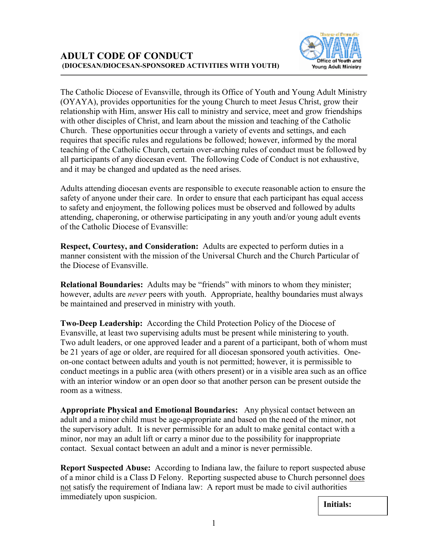

The Catholic Diocese of Evansville, through its Office of Youth and Young Adult Ministry (OYAYA), provides opportunities for the young Church to meet Jesus Christ, grow their relationship with Him, answer His call to ministry and service, meet and grow friendships with other disciples of Christ, and learn about the mission and teaching of the Catholic Church. These opportunities occur through a variety of events and settings, and each requires that specific rules and regulations be followed; however, informed by the moral teaching of the Catholic Church, certain over-arching rules of conduct must be followed by all participants of any diocesan event. The following Code of Conduct is not exhaustive, and it may be changed and updated as the need arises.

Adults attending diocesan events are responsible to execute reasonable action to ensure the safety of anyone under their care. In order to ensure that each participant has equal access to safety and enjoyment, the following polices must be observed and followed by adults attending, chaperoning, or otherwise participating in any youth and/or young adult events of the Catholic Diocese of Evansville:

**Respect, Courtesy, and Consideration:** Adults are expected to perform duties in a manner consistent with the mission of the Universal Church and the Church Particular of the Diocese of Evansville.

**Relational Boundaries:** Adults may be "friends" with minors to whom they minister; however, adults are *never* peers with youth. Appropriate, healthy boundaries must always be maintained and preserved in ministry with youth.

**Two-Deep Leadership:** According the Child Protection Policy of the Diocese of Evansville, at least two supervising adults must be present while ministering to youth. Two adult leaders, or one approved leader and a parent of a participant, both of whom must be 21 years of age or older, are required for all diocesan sponsored youth activities. Oneon-one contact between adults and youth is not permitted; however, it is permissible to conduct meetings in a public area (with others present) or in a visible area such as an office with an interior window or an open door so that another person can be present outside the room as a witness.

**Appropriate Physical and Emotional Boundaries:** Any physical contact between an adult and a minor child must be age-appropriate and based on the need of the minor, not the supervisory adult. It is never permissible for an adult to make genital contact with a minor, nor may an adult lift or carry a minor due to the possibility for inappropriate contact. Sexual contact between an adult and a minor is never permissible.

**Report Suspected Abuse:** According to Indiana law, the failure to report suspected abuse of a minor child is a Class D Felony. Reporting suspected abuse to Church personnel does not satisfy the requirement of Indiana law: A report must be made to civil authorities immediately upon suspicion.

**Initials:**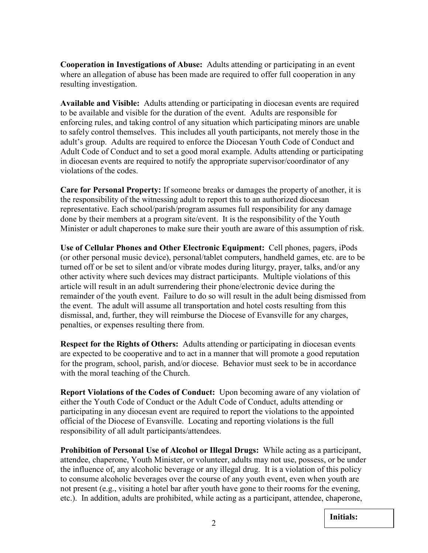**Cooperation in Investigations of Abuse:** Adults attending or participating in an event where an allegation of abuse has been made are required to offer full cooperation in any resulting investigation.

**Available and Visible:** Adults attending or participating in diocesan events are required to be available and visible for the duration of the event. Adults are responsible for enforcing rules, and taking control of any situation which participating minors are unable to safely control themselves. This includes all youth participants, not merely those in the adult's group. Adults are required to enforce the Diocesan Youth Code of Conduct and Adult Code of Conduct and to set a good moral example. Adults attending or participating in diocesan events are required to notify the appropriate supervisor/coordinator of any violations of the codes.

**Care for Personal Property:** If someone breaks or damages the property of another, it is the responsibility of the witnessing adult to report this to an authorized diocesan representative. Each school/parish/program assumes full responsibility for any damage done by their members at a program site/event. It is the responsibility of the Youth Minister or adult chaperones to make sure their youth are aware of this assumption of risk.

**Use of Cellular Phones and Other Electronic Equipment:** Cell phones, pagers, iPods (or other personal music device), personal/tablet computers, handheld games, etc. are to be turned off or be set to silent and/or vibrate modes during liturgy, prayer, talks, and/or any other activity where such devices may distract participants. Multiple violations of this article will result in an adult surrendering their phone/electronic device during the remainder of the youth event. Failure to do so will result in the adult being dismissed from the event. The adult will assume all transportation and hotel costs resulting from this dismissal, and, further, they will reimburse the Diocese of Evansville for any charges, penalties, or expenses resulting there from.

**Respect for the Rights of Others:** Adults attending or participating in diocesan events are expected to be cooperative and to act in a manner that will promote a good reputation for the program, school, parish, and/or diocese. Behavior must seek to be in accordance with the moral teaching of the Church.

**Report Violations of the Codes of Conduct:** Upon becoming aware of any violation of either the Youth Code of Conduct or the Adult Code of Conduct, adults attending or participating in any diocesan event are required to report the violations to the appointed official of the Diocese of Evansville. Locating and reporting violations is the full responsibility of all adult participants/attendees.

**Prohibition of Personal Use of Alcohol or Illegal Drugs:** While acting as a participant, attendee, chaperone, Youth Minister, or volunteer, adults may not use, possess, or be under the influence of, any alcoholic beverage or any illegal drug. It is a violation of this policy to consume alcoholic beverages over the course of any youth event, even when youth are not present (e.g., visiting a hotel bar after youth have gone to their rooms for the evening, etc.). In addition, adults are prohibited, while acting as a participant, attendee, chaperone,

**Initials:**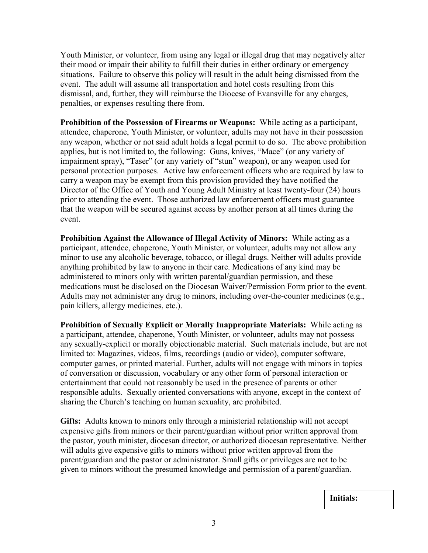Youth Minister, or volunteer, from using any legal or illegal drug that may negatively alter their mood or impair their ability to fulfill their duties in either ordinary or emergency situations. Failure to observe this policy will result in the adult being dismissed from the event. The adult will assume all transportation and hotel costs resulting from this dismissal, and, further, they will reimburse the Diocese of Evansville for any charges, penalties, or expenses resulting there from.

**Prohibition of the Possession of Firearms or Weapons:** While acting as a participant, attendee, chaperone, Youth Minister, or volunteer, adults may not have in their possession any weapon, whether or not said adult holds a legal permit to do so. The above prohibition applies, but is not limited to, the following: Guns, knives, "Mace" (or any variety of impairment spray), "Taser" (or any variety of "stun" weapon), or any weapon used for personal protection purposes. Active law enforcement officers who are required by law to carry a weapon may be exempt from this provision provided they have notified the Director of the Office of Youth and Young Adult Ministry at least twenty-four (24) hours prior to attending the event. Those authorized law enforcement officers must guarantee that the weapon will be secured against access by another person at all times during the event.

**Prohibition Against the Allowance of Illegal Activity of Minors:** While acting as a participant, attendee, chaperone, Youth Minister, or volunteer, adults may not allow any minor to use any alcoholic beverage, tobacco, or illegal drugs. Neither will adults provide anything prohibited by law to anyone in their care. Medications of any kind may be administered to minors only with written parental/guardian permission, and these medications must be disclosed on the Diocesan Waiver/Permission Form prior to the event. Adults may not administer any drug to minors, including over-the-counter medicines (e.g., pain killers, allergy medicines, etc.).

**Prohibition of Sexually Explicit or Morally Inappropriate Materials:** While acting as a participant, attendee, chaperone, Youth Minister, or volunteer, adults may not possess any sexually-explicit or morally objectionable material. Such materials include, but are not limited to: Magazines, videos, films, recordings (audio or video), computer software, computer games, or printed material. Further, adults will not engage with minors in topics of conversation or discussion, vocabulary or any other form of personal interaction or entertainment that could not reasonably be used in the presence of parents or other responsible adults. Sexually oriented conversations with anyone, except in the context of sharing the Church's teaching on human sexuality, are prohibited.

**Gifts:** Adults known to minors only through a ministerial relationship will not accept expensive gifts from minors or their parent/guardian without prior written approval from the pastor, youth minister, diocesan director, or authorized diocesan representative. Neither will adults give expensive gifts to minors without prior written approval from the parent/guardian and the pastor or administrator. Small gifts or privileges are not to be given to minors without the presumed knowledge and permission of a parent/guardian.

**Initials:**